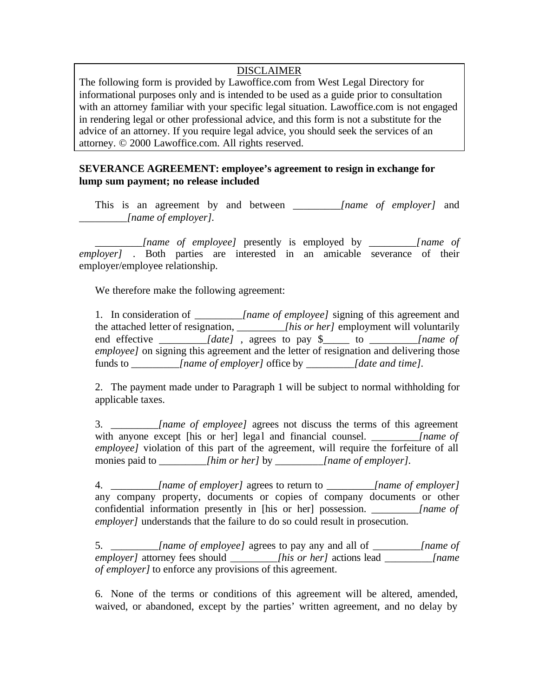## DISCLAIMER

The following form is provided by Lawoffice.com from West Legal Directory for informational purposes only and is intended to be used as a guide prior to consultation with an attorney familiar with your specific legal situation. Lawoffice.com is not engaged in rendering legal or other professional advice, and this form is not a substitute for the advice of an attorney. If you require legal advice, you should seek the services of an attorney. © 2000 Lawoffice.com. All rights reserved.

## **SEVERANCE AGREEMENT: employee's agreement to resign in exchange for lump sum payment; no release included**

This is an agreement by and between *\_\_\_\_\_\_\_\_\_[name of employer]* and *\_\_\_\_\_\_\_\_\_[name of employer].*

*\_\_\_\_\_\_\_\_\_[name of employee]* presently is employed by *\_\_\_\_\_\_\_\_\_[name of employer]* . Both parties are interested in an amicable severance of their employer/employee relationship.

We therefore make the following agreement:

1. In consideration of *\_\_\_\_\_\_\_\_\_[name of employee]* signing of this agreement and the attached letter of resignation, *\_\_\_\_\_\_\_\_\_[his or her]* employment will voluntarily end effective *\_\_\_\_\_\_\_\_\_[date]* , agrees to pay \$\_\_\_\_\_ to *\_\_\_\_\_\_\_\_\_[name of employee]* on signing this agreement and the letter of resignation and delivering those funds to *[name of employer]* office by *[date and time].* 

2. The payment made under to Paragraph 1 will be subject to normal withholding for applicable taxes.

3. *\_\_\_\_\_\_\_\_\_[name of employee]* agrees not discuss the terms of this agreement with anyone except [his or her] legal and financial counsel. *[name of [name of ] employee]* violation of this part of the agreement, will require the forfeiture of all monies paid to *lhim or her]* by *[name of employer].* 

4. *\_\_\_\_\_\_\_\_\_[name of employer]* agrees to return to *\_\_\_\_\_\_\_\_\_[name of employer]* any company property, documents or copies of company documents or other confidential information presently in [his or her] possession. *[name of confidential information presently in [his or her] possession. employer]* understands that the failure to do so could result in prosecution.

5. *\_\_\_\_\_\_\_\_\_[name of employee]* agrees to pay any and all of *\_\_\_\_\_\_\_\_\_[name of employer]* attorney fees should *\_\_\_\_\_\_\_\_\_[his or her]* actions lead *\_\_\_\_\_\_\_\_\_[name of employer]* to enforce any provisions of this agreement.

6. None of the terms or conditions of this agreement will be altered, amended, waived, or abandoned, except by the parties' written agreement, and no delay by